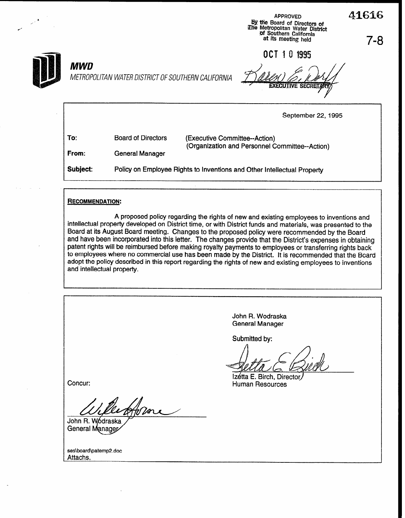APPROVED A 42 L. The Metropolitan Water District<br>
Southern California<br>
at its meeting held at its meeting held and at its meeting held and the meeting held and the material of the<br>
T – 8

OCT 1 0 1995



# MWD

METROPOLITAN WATER DISTRICT OF SOUTHERN CALIFORNIA

**EXECUTIVE SECRET** 

September 22,1995

| To:   | <b>Board of Directors</b> | (Executive Committee--Action)<br>(Organization and Personnel Committee--Action) |
|-------|---------------------------|---------------------------------------------------------------------------------|
| From: | General Manager           |                                                                                 |

Subject: Policy on Employee Rights to Inventions and Other Intellectual Property

#### **RECOMMENDATION:**

A proposed policy regarding the rights of new and existing employees to inventions and intellectual property developed on District time, or with District funds and materials, was presented to the Board at its August Board meeting. Changes to the proposed policy were recommended by the Board and have been incorporated into this letter. The changes provide that the District's expenses in obtaining patent rights will be reimbursed before making royalty payments to employees or transferring rights back to employees where no commercial use has been made by the District. It is recommended that the Board adopt the policy described in this report regarding the rights of new and existing employees to inventions and intellectual property.

John R. Wodraska General Manager Submitted by: Izétta E. Birch, Director. Concur: **Human Resources** /<br>Hora John R. Wódraska General Manager Attachs.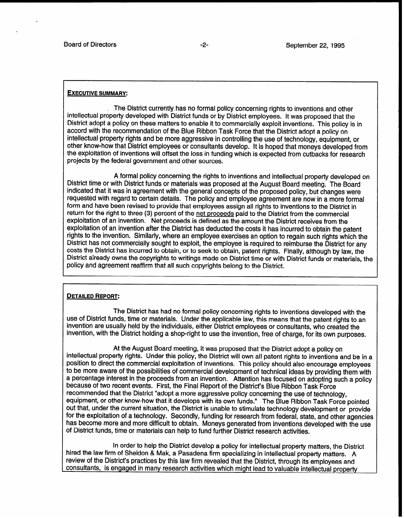#### EXECUTIVE SUMMARY:

.The District currently. has no formal policy concerning rights to inventions and other intellectual property developed with District funds or by District employees. It was proposed that the District adopt a policy on these matters to enable it to commercially exploit inventions. This policy is in accord with the recommendation of the Blue Ribbon Task Force that the District adopt a policy on intellectual property rights and be more aggressive in controlling the use of technology, equipment, or other know-how that District employees or consultants develop. It is hoped that moneys developed from the exploitation of inventions will offset the loss in funding which is expected from cutbacks for research projects by the federal government and other sources.

A formal policy concerning the rights to inventions and intellectual property developed on District time or with District funds or materials was proposed at the August Board meeting. The Board indicated that it was in agreement with the general concepts of the proposed policy, but changes were requested with regard to certain details. The policy and employee agreement are now in a more formal form and have been revised to provide that employees assign all rights to inventions to the District in return for the right to three (3) percent of the net proceeds paid to the District from the commercial exploitation of an invention. Net proceeds is defined as the amount the District receives from the exploitation of an invention after the District has deducted the costs it has incurred to obtain the patent rights to the invention. Similarly, where an employee exercises an option to regain such rights which the District has not commercially sought to exploit, the employee is required to reimburse the District for any costs the District has incurred to obtain, or to seek to obtain, patent rights. Finally, although by law, the Districi already owns the copyrights to writings made on District time or with District funds or materials, the policy and agreement reaffirm that all such copyrights belong to the District.

#### DETAILED REPORT:

The District has had no formal policy concerning rights to inventions developed with the use of District funds, time or materials. Under the applicable law, this means that the patent rights to an invention are usually held by the individuals, either District employees or consultants, who created the invention, with the District holding a shop-right to use the invention, free of charge, for its own purposes.

At the August Board meeting, it was proposed that the District adopt a policy on intellectual property rights. Under this policy, the District will own all patent rights to inventions and be in a position to direct the commercial exploitation of inventions. This policy should also encourage employees to be more aware of the possibilities of commercial development of technical ideas by providing them with a percentage interest in the proceeds from an invention. Attention has focused on adopting such a policy because of two recent events. First, the Final Report of the District's Blue Ribbon Task Force recommended that the District "adopt a more aggressive policy concerning the use of technology, equipment, or other know-how that it develops with its own funds." The Blue Ribbon Task Force pointed out that, under the current situation, the District is unable to stimulate technology development or provide for the exploitation of a technology. Secondly, funding for research from federal, state, and other agencies has become more and more difficult to obtain. Moneys generated from inventions developed with the use of District funds, time or materials can help to fund further District research activities.

In order to help the District develop a policy for intellectual property matters, the District hired the law firm of Sheldon & Mak, a Pasadena firm specializing in intellectual property matters. A review of the District's practices by this law firm revealed that the District, through its employees and consultants, is engaged in many research activities which miqht lead to valuable intellectual property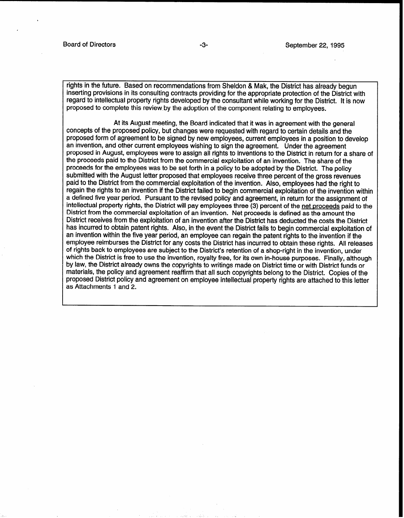rights in the future. Based on recommendations from Sheldon & Mak, the District has already begun inserting provisions in its consulting contracts providing for the appropriate protection of the District with regard to intellectual property rights developed by the consultant while working for the District. It is now proposed to complete this review.by the adoption of the component relating to employees.

At its August meeting, the Board indicated that it was in agreement with the general concepts of the proposed policy, but changes were requested with regard to certain details and the proposed form of agreement to be signed by new employees, current employees in a position to develop an invention, and other current employees wishing to sign the agreement. Under the agreement proposed in August, employees were to assign all rights to inventions to the District in return for a share of the proceeds paid to the District from the commercial exploitation of an invention. The share of the proceeds for the employees was to be set forth in a policy to be adopted by the District. The policy submitted with the August letter proposed that employees receive three percent of the gross revenues paid to the District from the commercial exploitation of the invention. Also, employees had the right to regain the rights to an invention if the District failed to begin commercial exploitation of the invention within a defined five year period. Pursuant to the revised policy and agreement, in return for the assignment of intellectual property rights, the District will pay employees three (3) percent of the net proceeds paid to the District from the commercial exploitation of an invention. Net proceeds is defined as the amount the District receives from the exploitation of an invention after the District has deducted the costs the District has incurred to obtain patent rights. Also, in the event the District fails to begin commercial exploitation of an invention within the five year period, an employee can regain the patent rights to the invention if the employee reimburses the District for any costs the District has incurred to obtain these rights. All releases of rights back to employees are subject to the District's retention of a shop-right in the invention, under which the District is free to use the invention, royalty free, for its own in-house purposes. Finally, although by law, the District already owns the copyrights to writings made on District time or with District funds or materials, the policy and agreement reaffirm that all such copyrights belong to the District. Copies of the proposed District policy and agreement on employee intellectual property rights are attached to this letter as Attachments 1 and 2.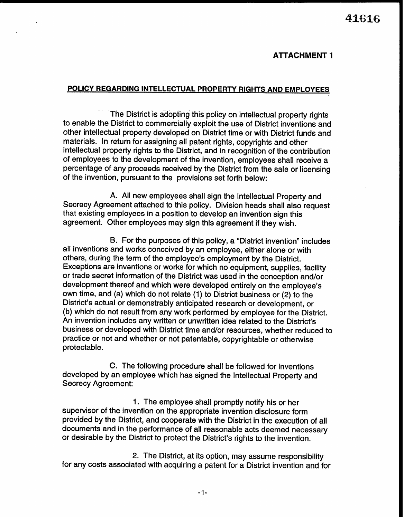. All  $41616$ 

### **ATTACHMENT 1**

# POLICY REGARDING INTELLECTUAL PROPERTY RIGHTS AND EMPLOYEES

The District is adopting this policy on intellectual property rights to enable the District to commercially exploit the use of District inventions and other intellectual property developed on District time or with District funds and materials. In return for assigning all patent rights, copyrights and other intellectual property rights to the District, and in recognition of the contribution of employees to the development of the invention, employees shall receive a percentage of any proceeds received by the District from the sale or licensing of the invention, pursuant to the provisions set forth below:

A. All new employees shall sign the Intellectual Property and Secrecy Agreement attached to this policy. Division heads shall also request that existing employees in a position to develop an invention sign this agreement. Other employees may sign this agreement if they wish.

9. For the purposes of this policy, a "District invention" includes all inventions and works conceived by an employee, either alone or with others, during the term of the employee's employment by the District. Exceptions are inventions or works for which no equipment, supplies, facility or trade secret information of the District was used in the conception and/or development thereof and which were developed entirely on the employee's own time, and (a) which do not relate (1) to District business or (2) to the District's actual or demonstrably anticipated research or development, or (b) which do not result from any work performed by employee for the District. An invention includes any written or unwritten idea related to the District's business or developed with District time and/or resources, whether reduced to practice or not and whether or not patentable, copyrightable or otherwise protectable.

C. The following procedure shall be followed for inventions developed by an employee which has signed the Intellectual Property and Secrecy Agreement:

1. The employee shall promptly notify his or her supervisor of the invention on the appropriate invention disclosure form provided by the District, and cooperate with the District in the execution of all documents and in the performance of all reasonable acts deemed necessary or desirable by the District to protect the District's rights to the invention.

2. The District, at its option, may assume responsibility for any costs associated with acquiring a patent for a District invention and for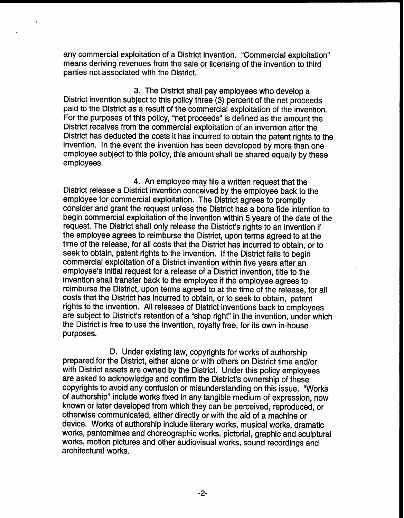any commercial exploitation of a District invention. "Commercial exploitation" means deriving revenues from the sale or licensing of the invention to third parties not associated with the District.

3. The District shall pay employees who develop a District invention subject to this policy three (3) percent of the net proceeds paid to the District as a result of the commercial exploitation of the invention. For the purposes of this policy, "net proceeds" is defined as the amount the District receives from the commercial exploitation of an invention after the District has deducted the costs it has incurred to obtain the patent rights to the invention. In the event the invention has been developed by more than one employee subject to this policy, this amount shall be shared equally by these employees.

4. An employee may file a written request that the District release a District invention conceived by the employee back to the employee for commercial exploitation. The District agrees to promptly consider and grant the request unless the District has a bona fide intention to begin commercial exploitation of the invention within 5 years of the date of the request. The District shall only release the District's rights to an invention if the employee agrees to reimburse the District, upon terms agreed to at the time of the release, for all costs that the District has incurred to obtain, or to seek to obtain, patent rights to the invention. If the District fails to begin commercial exploitation of a District invention within five years after an employee's initial request for a release of a District invention, title to the invention shall transfer back to the employee if the employee agrees to reimburse the District, upon terms agreed to at the time of the release, for all costs that the District has incurred to obtain, or to seek to obtain, patent rights to the invention. All releases of District inventions back to employees are subject to District's retention of a "shop right" in the invention, under which the District is free to use the invention, royalty free, for its own in-house purposes.

D. Under existing law, copyrights for works of authorship prepared for the District, either alone or with others on District time and/or with District assets are owned by the District. Under this policy employees are asked to acknowledge and confirm the District's ownership of these copyrights to avoid any confusion or misunderstanding on this issue. "Works of authorship" include works fixed in any tangible medium of expression, now known or later developed from which they can be perceived, reproduced, or otherwise communicated, either directly or with the aid of a machine or device. Works of authorship include literary works, musical works, dramatic works, pantomimes and choreographic works, pictorial, graphic and sculptural works, motion pictures and other audiovisual works, sound recordings and architectural works.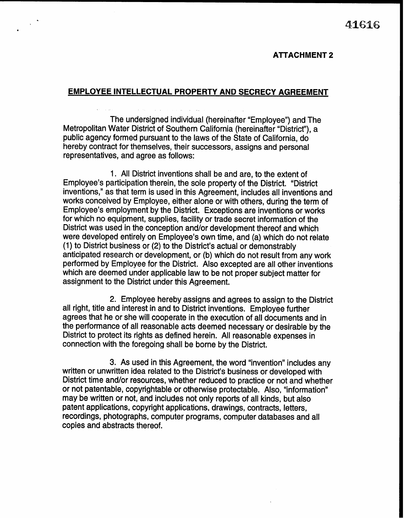### ATTACHMENT 2

## EMPLOYEE INTELLECTUAL PROPERTY AND SECRECY AGREEMENT

.

The undersigned individual (hereinafter "Employee") and The Metropolitan Water District of Southern California (hereinafter "District"), a public agency formed pursuant to the laws of the State of California, do hereby contract for themselves, their successors, assigns and personal representatives, and agree as follows:

1. All District inventions shall be and are, to the extent of Employee's participation therein, the sole property of the District. "District inventions," as that term is used in this Agreement, includes all inventions and works conceived by Employee, either alone or with others, during the term of Employee's employment by the District. Exceptions are inventions or works for which no equipment, supplies, facility or trade secret information of the District was used in the conception and/or development thereof and which were developed entirely on Employee's own time, and (a) which do not relate (1) to District business or (2) to the District's actual or demonstrably anticipated research or development, or (b) which do not result from any work performed by Employee for the District. Also excepted are all other inventions which are deemed under applicable law to be not proper subject matter for assignment to the District under this Agreement.

2. Employee hereby assigns and agrees to assign to the District all right, title and interest in and to District inventions. Employee further agrees that he or she will cooperate in the execution of all documents and in the performance of all reasonable acts deemed necessary or desirable by the District to protect its rights as defined herein. All reasonable expenses in connection with the foregoing shall be borne by the District.

3. As used in this Agreement, the word "invention" includes any written or unwritten idea related to the District's business or developed with District time and/or resources, whether reduced to practice or not and whether or not patentable, copyrightable or otherwise protectable. Also, "information" may be written or not, and includes not only reports of all kinds, but also patent applications, copyright applications, drawings, contracts, letters, recordings, photographs, computer programs, computer databases and all copies and abstracts thereof.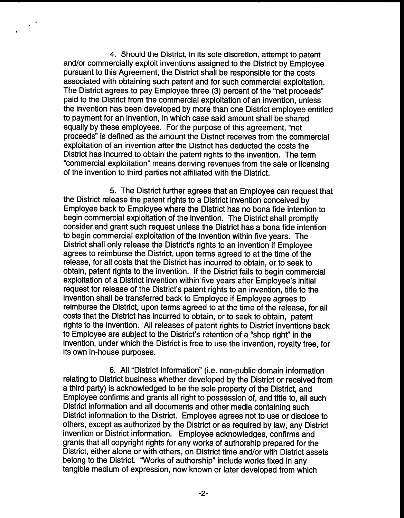4. Should the District, in its sole discretion, attempt to patent and/or commercially exploit inventions assigned to the District by Employee pursuant to this Agreement, the District shall be responsible for the costs associated with obtaining such patent and for such commercial exploitation. The District agrees to pay Employee three (3) percent of the "net proceeds" paid to the District from the commercial exploitation of an invention, unless the invention has been developed-by more than one District employee entitled to payment for an invention, in which case said amount shall be shared equally by these employees. For the purpose of this agreement, "net proceeds" is defined as the amount the District receives from the commercial exploitation of an invention after the District has deducted the costs the District has incurred to obtain the patent rights to the invention. The term "commercial exploitation" means deriving revenues from the sale or licensing of the invention to third parties not affiliated with the District.

 $\star$ 

5. The District further agrees that an Employee can request that the District release the patent rights to a District invention conceived by Employee back to Employee where the District has no bona fide intention to begin commercial exploitation of the invention. The District shall promptly consider and grant such request unless the District has a bona fide intention to begin commercial exploitation of the invention within five years. The District shall only release the District's rights to an invention if Employee agrees to reimburse the District, upon terms agreed to at the time of the release, for all costs that the District has incurred to obtain, or to seek to obtain, patent rights to the invention. If the District fails to begin commercial exploitation of a District invention within five years after Employee's initial request for release of the District's patent rights to an invention, title to the invention shall be transferred back to Employee if Employee agrees to reimburse the District, upon terms agreed to at the time of the release, for all costs that the District has incurred to obtain, or to seek to obtain, patent rights to the invention. All releases of patent rights to District inventions back to Employee are subject to the District's retention of a "shop right" in the invention, under which the District is free to use the invention, royalty free, for its own in-house purposes.

6. All "District Information" (i.e. non-public domain information relating to District business whether developed by the District or received from a third party) is acknowledged to be the sole property of the District, and Employee confirms and grants all right to possession of, and title to, all such District information and all documents and other media containing such District information to the District. Employee agrees not to use or disclose to others, except as authorized by the District or as required by law, any District invention or District information. Employee acknowledges, confirms and grants that all copyright rights for any works of authorship prepared for the District, either alone or with others, on District time and/or with District assets belong to the District. "Works of authorship" include works fixed in any tangible medium of expression, now known or later developed from which